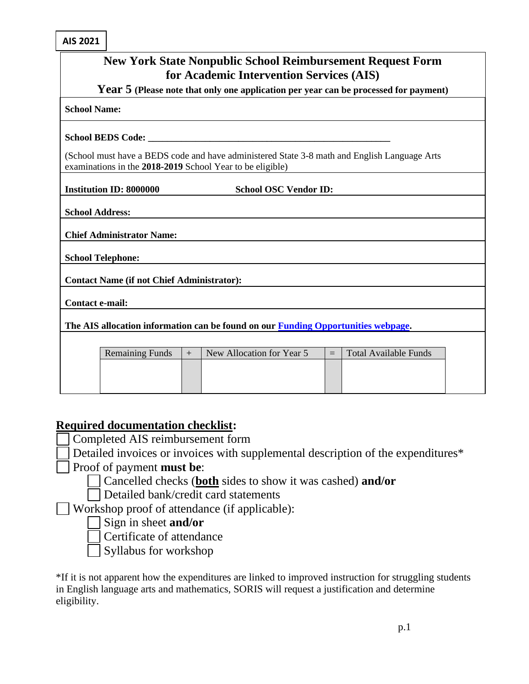**AIS 2021**

| <b>New York State Nonpublic School Reimbursement Request Form</b><br>for Academic Intervention Services (AIS)<br>Year 5 (Please note that only one application per year can be processed for payment) |                                                   |     |                                                                                                                                                           |     |                              |  |  |
|-------------------------------------------------------------------------------------------------------------------------------------------------------------------------------------------------------|---------------------------------------------------|-----|-----------------------------------------------------------------------------------------------------------------------------------------------------------|-----|------------------------------|--|--|
|                                                                                                                                                                                                       |                                                   |     |                                                                                                                                                           |     |                              |  |  |
|                                                                                                                                                                                                       |                                                   |     |                                                                                                                                                           |     |                              |  |  |
|                                                                                                                                                                                                       |                                                   |     | (School must have a BEDS code and have administered State 3-8 math and English Language Arts<br>examinations in the 2018-2019 School Year to be eligible) |     |                              |  |  |
| <b>Institution ID: 8000000</b>                                                                                                                                                                        |                                                   |     | <b>School OSC Vendor ID:</b>                                                                                                                              |     |                              |  |  |
| <b>School Address:</b>                                                                                                                                                                                |                                                   |     |                                                                                                                                                           |     |                              |  |  |
|                                                                                                                                                                                                       | <b>Chief Administrator Name:</b>                  |     |                                                                                                                                                           |     |                              |  |  |
| <b>School Telephone:</b>                                                                                                                                                                              |                                                   |     |                                                                                                                                                           |     |                              |  |  |
|                                                                                                                                                                                                       | <b>Contact Name (if not Chief Administrator):</b> |     |                                                                                                                                                           |     |                              |  |  |
| Contact e-mail:                                                                                                                                                                                       |                                                   |     |                                                                                                                                                           |     |                              |  |  |
|                                                                                                                                                                                                       |                                                   |     | The AIS allocation information can be found on our Funding Opportunities webpage.                                                                         |     |                              |  |  |
|                                                                                                                                                                                                       |                                                   |     |                                                                                                                                                           |     |                              |  |  |
|                                                                                                                                                                                                       | <b>Remaining Funds</b>                            | $+$ | New Allocation for Year 5                                                                                                                                 | $=$ | <b>Total Available Funds</b> |  |  |
|                                                                                                                                                                                                       |                                                   |     |                                                                                                                                                           |     |                              |  |  |
|                                                                                                                                                                                                       |                                                   |     |                                                                                                                                                           |     |                              |  |  |

## **Required documentation checklist:**

Completed AIS reimbursement form

Detailed invoices or invoices with supplemental description of the expenditures\*

Proof of payment **must be**:

Cancelled checks (**both** sides to show it was cashed) **and/or**

Detailed bank/credit card statements

Workshop proof of attendance (if applicable):

Sign in sheet **and/or**

Certificate of attendance

Syllabus for workshop

\*If it is not apparent how the expenditures are linked to improved instruction for struggling students in English language arts and mathematics, SORIS will request a justification and determine eligibility.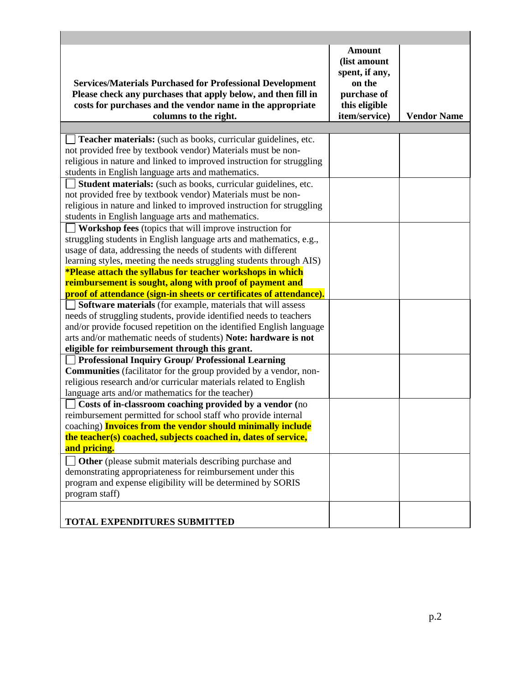| <b>Services/Materials Purchased for Professional Development</b><br>Please check any purchases that apply below, and then fill in<br>costs for purchases and the vendor name in the appropriate                                                                                                                                               | <b>Amount</b><br>(list amount<br>spent, if any,<br>on the<br>purchase of<br>this eligible |                    |
|-----------------------------------------------------------------------------------------------------------------------------------------------------------------------------------------------------------------------------------------------------------------------------------------------------------------------------------------------|-------------------------------------------------------------------------------------------|--------------------|
| columns to the right.                                                                                                                                                                                                                                                                                                                         | item/service)                                                                             | <b>Vendor Name</b> |
|                                                                                                                                                                                                                                                                                                                                               |                                                                                           |                    |
| Teacher materials: (such as books, curricular guidelines, etc.<br>not provided free by textbook vendor) Materials must be non-<br>religious in nature and linked to improved instruction for struggling<br>students in English language arts and mathematics.                                                                                 |                                                                                           |                    |
| Student materials: (such as books, curricular guidelines, etc.                                                                                                                                                                                                                                                                                |                                                                                           |                    |
| not provided free by textbook vendor) Materials must be non-<br>religious in nature and linked to improved instruction for struggling<br>students in English language arts and mathematics.                                                                                                                                                   |                                                                                           |                    |
| <b>Workshop fees</b> (topics that will improve instruction for                                                                                                                                                                                                                                                                                |                                                                                           |                    |
| struggling students in English language arts and mathematics, e.g.,<br>usage of data, addressing the needs of students with different<br>learning styles, meeting the needs struggling students through AIS)<br><b>*Please attach the syllabus for teacher workshops in which</b><br>reimbursement is sought, along with proof of payment and |                                                                                           |                    |
| proof of attendance (sign-in sheets or certificates of attendance).                                                                                                                                                                                                                                                                           |                                                                                           |                    |
| <b>Software materials</b> (for example, materials that will assess<br>needs of struggling students, provide identified needs to teachers<br>and/or provide focused repetition on the identified English language<br>arts and/or mathematic needs of students) Note: hardware is not<br>eligible for reimbursement through this grant.         |                                                                                           |                    |
| Professional Inquiry Group/ Professional Learning                                                                                                                                                                                                                                                                                             |                                                                                           |                    |
| <b>Communities</b> (facilitator for the group provided by a vendor, non-<br>religious research and/or curricular materials related to English<br>language arts and/or mathematics for the teacher)                                                                                                                                            |                                                                                           |                    |
| Costs of in-classroom coaching provided by a vendor (no<br>reimbursement permitted for school staff who provide internal<br>coaching) <b>Invoices from the vendor should minimally include</b>                                                                                                                                                |                                                                                           |                    |
| the teacher(s) coached, subjects coached in, dates of service,<br>and pricing.                                                                                                                                                                                                                                                                |                                                                                           |                    |
| Other (please submit materials describing purchase and<br>demonstrating appropriateness for reimbursement under this<br>program and expense eligibility will be determined by SORIS<br>program staff)                                                                                                                                         |                                                                                           |                    |
| <b>TOTAL EXPENDITURES SUBMITTED</b>                                                                                                                                                                                                                                                                                                           |                                                                                           |                    |